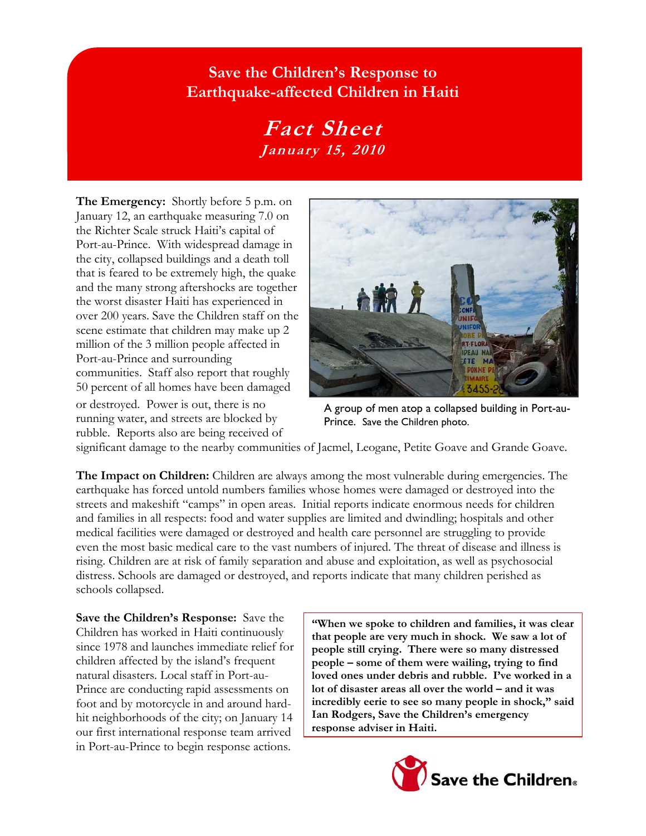## **Save the Children's Response to Earthquake-affected Children in Haiti**

## **Fact Sheet January 15, 2010**

**The Emergency:** Shortly before 5 p.m. on January 12, an earthquake measuring 7.0 on the Richter Scale struck Haiti's capital of Port-au-Prince. With widespread damage in the city, collapsed buildings and a death toll that is feared to be extremely high, the quake and the many strong aftershocks are together the worst disaster Haiti has experienced in over 200 years. Save the Children staff on the scene estimate that children may make up 2 million of the 3 million people affected in Port-au-Prince and surrounding communities. Staff also report that roughly 50 percent of all homes have been damaged or destroyed. Power is out, there is no running water, and streets are blocked by rubble. Reports also are being received of



A group of men atop a collapsed building in Port-au-Prince. Save the Children photo.

significant damage to the nearby communities of Jacmel, Leogane, Petite Goave and Grande Goave.

**The Impact on Children:** Children are always among the most vulnerable during emergencies. The earthquake has forced untold numbers families whose homes were damaged or destroyed into the streets and makeshift "camps" in open areas. Initial reports indicate enormous needs for children and families in all respects: food and water supplies are limited and dwindling; hospitals and other medical facilities were damaged or destroyed and health care personnel are struggling to provide even the most basic medical care to the vast numbers of injured. The threat of disease and illness is rising. Children are at risk of family separation and abuse and exploitation, as well as psychosocial distress. Schools are damaged or destroyed, and reports indicate that many children perished as schools collapsed.

**Save the Children's Response:** Save the Children has worked in Haiti continuously since 1978 and launches immediate relief for children affected by the island's frequent natural disasters. Local staff in Port-au-Prince are conducting rapid assessments on foot and by motorcycle in and around hardhit neighborhoods of the city; on January 14 our first international response team arrived in Port-au-Prince to begin response actions.

**"When we spoke to children and families, it was clear that people are very much in shock. We saw a lot of people still crying. There were so many distressed people – some of them were wailing, trying to find loved ones under debris and rubble. I've worked in a lot of disaster areas all over the world – and it was incredibly eerie to see so many people in shock," said Ian Rodgers, Save the Children's emergency response adviser in Haiti.**